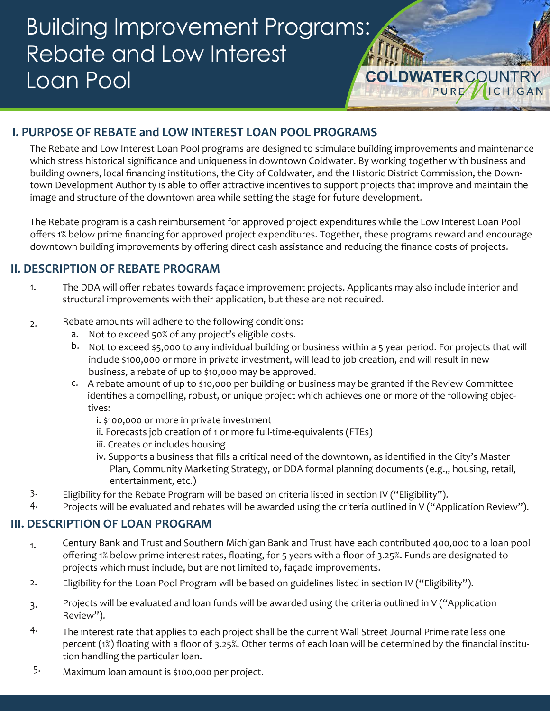# **COLDWATERCOUNTRY** Building Improvement Programs: Rebate and Low Interest Loan Pool

### **I. PURPOSE OF REBATE and LOW INTEREST LOAN POOL PROGRAMS**

The Rebate and Low Interest Loan Pool programs are designed to stimulate building improvements and maintenance which stress historical significance and uniqueness in downtown Coldwater. By working together with business and building owners, local financing institutions, the City of Coldwater, and the Historic District Commission, the Downtown Development Authority is able to offer attractive incentives to support projects that improve and maintain the image and structure of the downtown area while setting the stage for future development.

The Rebate program is a cash reimbursement for approved project expenditures while the Low Interest Loan Pool offers 1% below prime financing for approved project expenditures. Together, these programs reward and encourage downtown building improvements by offering direct cash assistance and reducing the finance costs of projects.

#### **II. DESCRIPTION OF REBATE PROGRAM**

- The DDA will offer rebates towards façade improvement projects. Applicants may also include interior and structural improvements with their application, but these are not required. 1.
- 2. Rebate amounts will adhere to the following conditions:
	- a. Not to exceed 50% of any project's eligible costs.
	- b. Not to exceed \$5,000 to any individual building or business within a 5 year period. For projects that will include \$100,000 or more in private investment, will lead to job creation, and will result in new business, a rebate of up to \$10,000 may be approved.
	- c. A rebate amount of up to \$10,000 per building or business may be granted if the Review Committee identifies a compelling, robust, or unique project which achieves one or more of the following objectives:
		- i. \$100,000 or more in private investment
		- ii. Forecasts job creation of 1 or more full-time-equivalents (FTEs)
		- iii. Creates or includes housing
		- iv. Supports a business that fills a critical need of the downtown, as identified in the City's Master Plan, Community Marketing Strategy, or DDA formal planning documents (e.g.,, housing, retail, entertainment, etc.)
- 3. Eligibility for the Rebate Program will be based on criteria listed in section IV ("Eligibility").
- 4. Projects will be evaluated and rebates will be awarded using the criteria outlined in V ("Application Review").

#### **III. DESCRIPTION OF LOAN PROGRAM**

- Century Bank and Trust and Southern Michigan Bank and Trust have each contributed 400,000 to a loan pool offering 1% below prime interest rates, floating, for 5 years with a floor of 3.25%. Funds are designated to projects which must include, but are not limited to, façade improvements. 1.
- 2. Eligibility for the Loan Pool Program will be based on guidelines listed in section IV ("Eligibility").
- 3. Projects will be evaluated and loan funds will be awarded using the criteria outlined in V ("Application Review").
- 4. The interest rate that applies to each project shall be the current Wall Street Journal Prime rate less one percent (1%) floating with a floor of 3.25%. Other terms of each loan will be determined by the financial institution handling the particular loan.
- 5. Maximum loan amount is \$100,000 per project.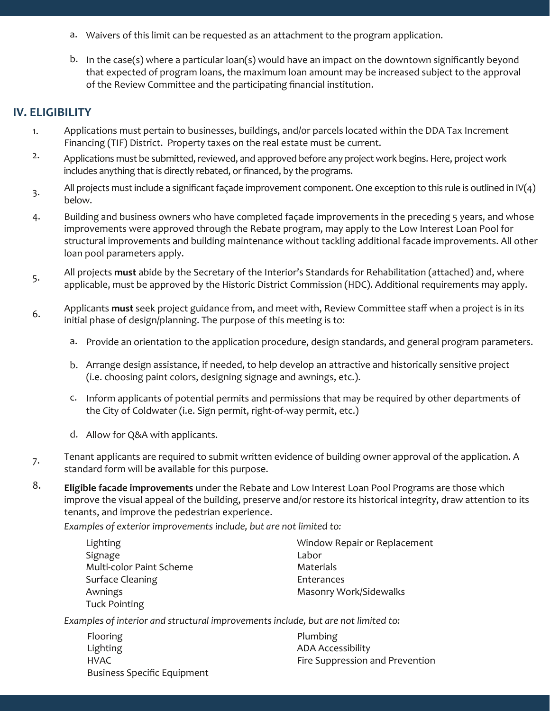- a. Waivers of this limit can be requested as an attachment to the program application.
- b. In the case(s) where a particular loan(s) would have an impact on the downtown significantly beyond that expected of program loans, the maximum loan amount may be increased subject to the approval of the Review Committee and the participating financial institution.

### **IV. ELIGIBILITY**

- 1. Applications must pertain to businesses, buildings, and/or parcels located within the DDA Tax Increment Financing (TIF) District. Property taxes on the real estate must be current.
- 2. Applications must be submitted, reviewed, and approved before any project work begins. Here, project work includes anything that is directly rebated, or financed, by the programs.
- 3. All projects must include a significant façade improvement component. One exception to this rule is outlined in IV(4) below.
- 4. Building and business owners who have completed façade improvements in the preceding 5 years, and whose improvements were approved through the Rebate program, may apply to the Low Interest Loan Pool for structural improvements and building maintenance without tackling additional facade improvements. All other loan pool parameters apply.
- 5. All projects **must** abide by the Secretary of the Interior's Standards for Rehabilitation (attached) and, where applicable, must be approved by the Historic District Commission (HDC). Additional requirements may apply.
- 6. Applicants **must** seek project guidance from, and meet with, Review Committee staff when a project is in its initial phase of design/planning. The purpose of this meeting is to:
	- a. Provide an orientation to the application procedure, design standards, and general program parameters.
	- Arrange design assistance, if needed, to help develop an attractive and historically sensitive project b. (i.e. choosing paint colors, designing signage and awnings, etc.).
	- c. Inform applicants of potential permits and permissions that may be required by other departments of the City of Coldwater (i.e. Sign permit, right-of-way permit, etc.)
	- d. Allow for Q&A with applicants.
- 7. Tenant applicants are required to submit written evidence of building owner approval of the application. A standard form will be available for this purpose.
- 8. **Eligible facade improvements** under the Rebate and Low Interest Loan Pool Programs are those which improve the visual appeal of the building, preserve and/or restore its historical integrity, draw attention to its tenants, and improve the pedestrian experience.

*Examples of exterior improvements include, but are not limited to:* 

| Lighting                 | Window Repair or Replacement  |
|--------------------------|-------------------------------|
| Signage                  | Labor                         |
| Multi-color Paint Scheme | Materials                     |
| <b>Surface Cleaning</b>  | Enterances                    |
| Awnings                  | <b>Masonry Work/Sidewalks</b> |
| <b>Tuck Pointing</b>     |                               |

*Examples of interior and structural improvements include, but are not limited to:* 

| Flooring                           | Plumbing                        |
|------------------------------------|---------------------------------|
| Lighting                           | <b>ADA Accessibility</b>        |
| HVAC                               | Fire Suppression and Prevention |
| <b>Business Specific Equipment</b> |                                 |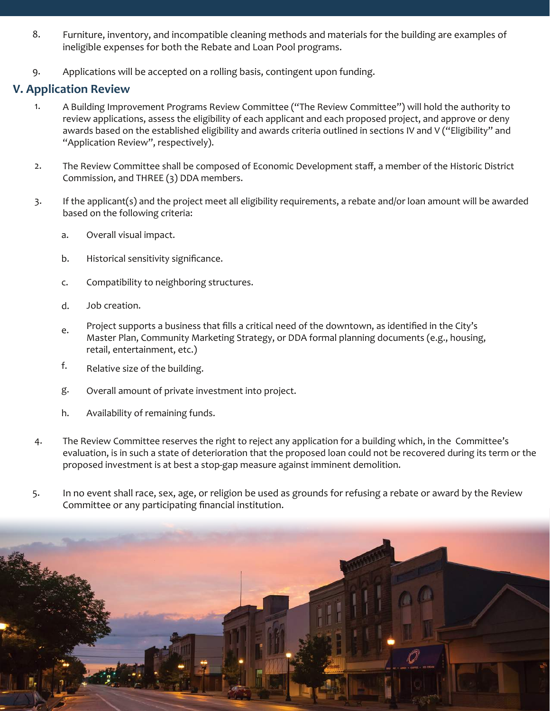- Furniture, inventory, and incompatible cleaning methods and materials for the building are examples of ineligible expenses for both the Rebate and Loan Pool programs. 8.
- 9. Applications will be accepted on a rolling basis, contingent upon funding.

### **V. Application Review**

- 1. A Building Improvement Programs Review Committee ("The Review Committee") will hold the authority to review applications, assess the eligibility of each applicant and each proposed project, and approve or deny awards based on the established eligibility and awards criteria outlined in sections IV and V ("Eligibility" and "Application Review", respectively).
- 2. The Review Committee shall be composed of Economic Development staff, a member of the Historic District Commission, and THREE (3) DDA members.
- 3. If the applicant(s) and the project meet all eligibility requirements, a rebate and/or loan amount will be awarded based on the following criteria:
	- Overall visual impact. a.
	- Historical sensitivity significance. b.
	- Compatibility to neighboring structures. c.
	- Job creation. d.
	- e. Project supports a business that fills a critical need of the downtown, as identified in the City's Master Plan, Community Marketing Strategy, or DDA formal planning documents (e.g., housing, retail, entertainment, etc.)
	- f. Relative size of the building.
	- g. Overall amount of private investment into project.
	- h. Availability of remaining funds.
- 4. The Review Committee reserves the right to reject any application for a building which, in the Committee's evaluation, is in such a state of deterioration that the proposed loan could not be recovered during its term or the proposed investment is at best a stop-gap measure against imminent demolition.
- In no event shall race, sex, age, or religion be used as grounds for refusing a rebate or award by the Review Committee or any participating financial institution. 5.

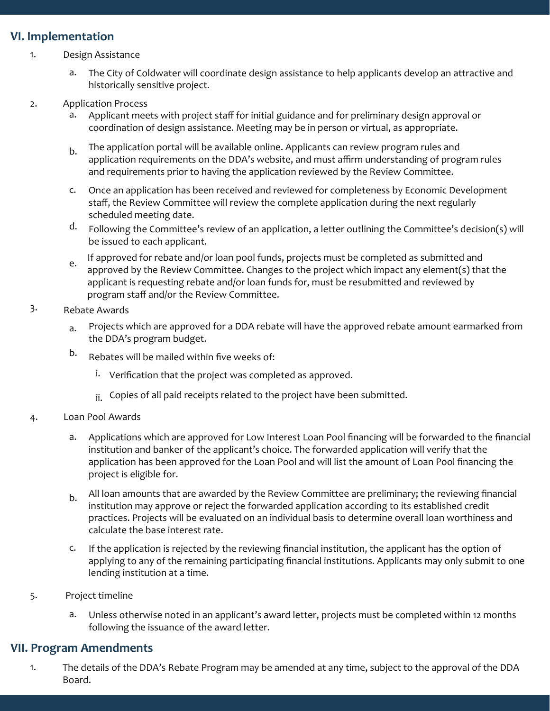#### **VI. Implementation**

- 1. Design Assistance
	- The City of Coldwater will coordinate design assistance to help applicants develop an attractive and historically sensitive project. a.
- 2. Application Process
	- Applicant meets with project staff for initial guidance and for preliminary design approval or coordination of design assistance. Meeting may be in person or virtual, as appropriate. a.
	- The application portal will be available online. Applicants can review program rules and application requirements on the DDA's website, and must affirm understanding of program rules and requirements prior to having the application reviewed by the Review Committee. b.
	- Once an application has been received and reviewed for completeness by Economic Development c. staff, the Review Committee will review the complete application during the next regularly scheduled meeting date.
	- Following the Committee's review of an application, a letter outlining the Committee's decision(s) will be issued to each applicant. d.
	- e. If approved for rebate and/or loan pool funds, projects must be completed as submitted and approved by the Review Committee. Changes to the project which impact any element(s) that the applicant is requesting rebate and/or loan funds for, must be resubmitted and reviewed by program staff and/or the Review Committee.

#### 3. Rebate Awards

- Projects which are approved for a DDA rebate will have the approved rebate amount earmarked from the DDA's program budget. a.
- Rebates will be mailed within five weeks of: b.
	- i. Verification that the project was completed as approved.
	- ii. Copies of all paid receipts related to the project have been submitted.
- 4. Loan Pool Awards
	- Applications which are approved for Low Interest Loan Pool financing will be forwarded to the financial institution and banker of the applicant's choice. The forwarded application will verify that the application has been approved for the Loan Pool and will list the amount of Loan Pool financing the project is eligible for. a.
	- All loan amounts that are awarded by the Review Committee are preliminary; the reviewing financial institution may approve or reject the forwarded application according to its established credit practices. Projects will be evaluated on an individual basis to determine overall loan worthiness and calculate the base interest rate. b.
	- c. If the application is rejected by the reviewing financial institution, the applicant has the option of applying to any of the remaining participating financial institutions. Applicants may only submit to one lending institution at a time.
- 5. Project timeline
	- a. Unless otherwise noted in an applicant's award letter, projects must be completed within 12 months following the issuance of the award letter.

#### **VII. Program Amendments**

The details of the DDA's Rebate Program may be amended at any time, subject to the approval of the DDA Board. 1.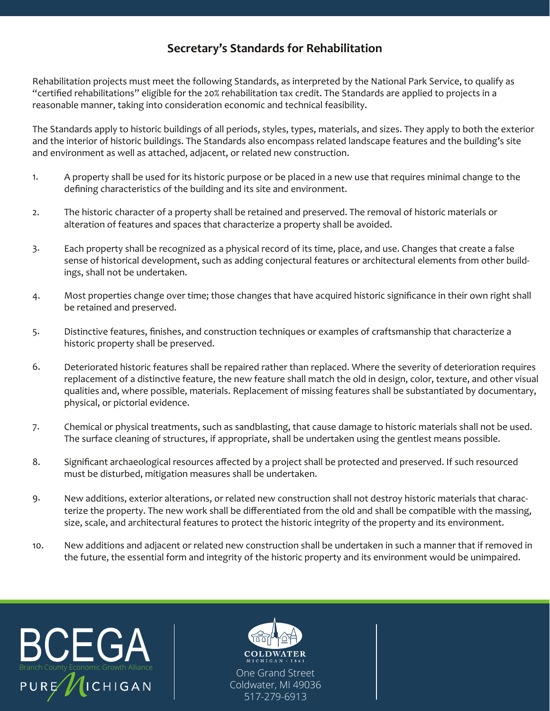## **Secretary's Standards for Rehabilitation**

Rehabilitation projects must meet the following Standards, as interpreted by the National Park Service, to qualify as "certified rehabilitations" eligible for the 20% rehabilitation tax credit. The Standards are applied to projects in a reasonable manner, taking into consideration economic and technical feasibility.

The Standards apply to historic buildings of all periods, styles, types, materials, and sizes. They apply to both the exterior and the interior of historic buildings. The Standards also encompass related landscape features and the building's site and environment as well as attached, adjacent, or related new construction.

- 1. A property shall be used for its historic purpose or be placed in a new use that requires minimal change to the defining characteristics of the building and its site and environment.
- 2. The historic character of a property shall be retained and preserved. The removal of historic materials or alteration of features and spaces that characterize a property shall be avoided.
- 3. Each property shall be recognized as a physical record of its time, place, and use. Changes that create a false sense of historical development, such as adding conjectural features or architectural elements from other buildings, shall not be undertaken.
- 4. Most properties change over time; those changes that have acquired historic significance in their own right shall be retained and preserved.
- 5. Distinctive features, finishes, and construction techniques or examples of craftsmanship that characterize a historic property shall be preserved.
- 6. Deteriorated historic features shall be repaired rather than replaced. Where the severity of deterioration requires replacement of a distinctive feature, the new feature shall match the old in design, color, texture, and other visual qualities and, where possible, materials. Replacement of missing features shall be substantiated by documentary, physical, or pictorial evidence.
- 7. Chemical or physical treatments, such as sandblasting, that cause damage to historic materials shall not be used. The surface cleaning of structures, if appropriate, shall be undertaken using the gentlest means possible.
- 8. Significant archaeological resources affected by a project shall be protected and preserved. If such resourced must be disturbed, mitigation measures shall be undertaken.
- 9. New additions, exterior alterations, or related new construction shall not destroy historic materials that characterize the property. The new work shall be differentiated from the old and shall be compatible with the massing, size, scale, and architectural features to protect the historic integrity of the property and its environment.
- 10. New additions and adjacent or related new construction shall be undertaken in such a manner that if removed in the future, the essential form and integrity of the historic property and its environment would be unimpaired.





One Grand Street Coldwater, MI 49036 517-279-6913